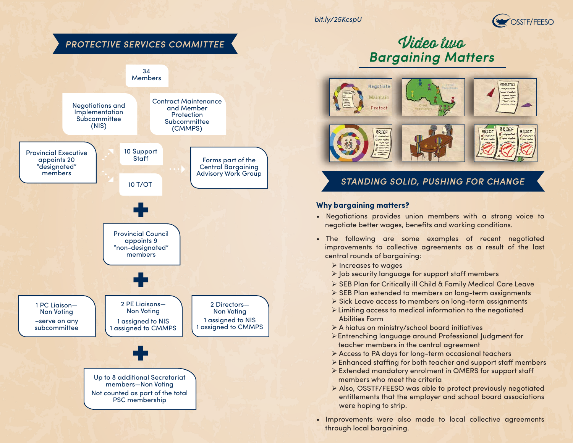*bit.ly/25KcspU*



# *PROTECTIVE SERVICES COMMITTEE* 34 **Members**



# Video two *Bargaining Matters*



## *STANDING SOLID, PUSHING FOR CHANGE*

#### **Why bargaining matters?**

- Negotiations provides union members with a strong voice to negotiate better wages, benefits and working conditions.
- The following are some examples of recent negotiated improvements to collective agreements as a result of the last central rounds of bargaining:
	- $\triangleright$  Increases to wages
	- $\triangleright$  Job security language for support staff members
	- SEB Plan for Critically ill Child & Family Medical Care Leave
	- $\triangleright$  SEB Plan extended to members on long-term assignments
	- Sick Leave access to members on long-term assignments
	- Limiting access to medical information to the negotiated Abilities Form
	- A hiatus on ministry/school board initiatives
	- Entrenching language around Professional Judgment for teacher members in the central agreement
	- Access to PA days for long-term occasional teachers
	- $\triangleright$  Enhanced staffing for both teacher and support staff members
	- Extended mandatory enrolment in OMERS for support sta members who meet the criteria
	- Also, OSSTF/FEESO was able to protect previously negotiated entitlements that the employer and school board associations were hoping to strip.
- Improvements were also made to local collective agreements through local bargaining.